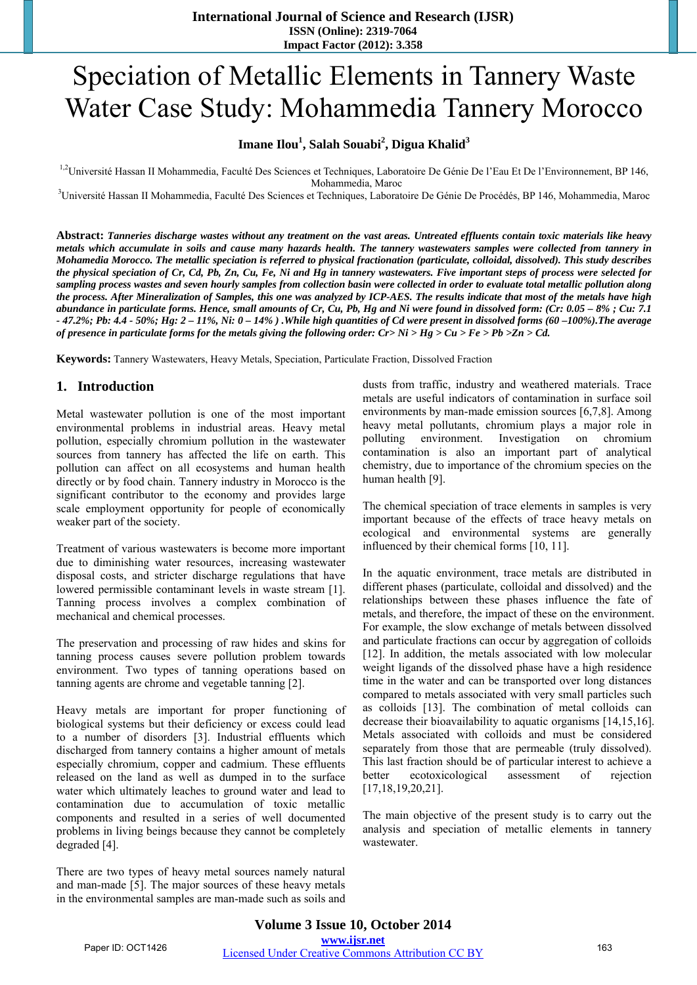# Speciation of Metallic Elements in Tannery Waste Water Case Study: Mohammedia Tannery Morocco

# **Imane Ilou<sup>1</sup> , Salah Souabi<sup>2</sup> , Digua Khalid<sup>3</sup>**

<sup>1,2</sup>Université Hassan II Mohammedia, Faculté Des Sciences et Techniques, Laboratoire De Génie De l'Eau Et De l'Environnement, BP 146, Mohammedia, Maroc<br><sup>3</sup>Université Hassan II Mohammedia, Faculté Des Sciences et Techniques, Laboratoire De Génie De Procédés, BP 146, Mohammedia, Maroc

**Abstract:** *Tanneries discharge wastes without any treatment on the vast areas. Untreated effluents contain toxic materials like heavy metals which accumulate in soils and cause many hazards health. The tannery wastewaters samples were collected from tannery in Mohamedia Morocco. The metallic speciation is referred to physical fractionation (particulate, colloidal, dissolved). This study describes the physical speciation of Cr, Cd, Pb, Zn, Cu, Fe, Ni and Hg in tannery wastewaters. Five important steps of process were selected for sampling process wastes and seven hourly samples from collection basin were collected in order to evaluate total metallic pollution along the process. After Mineralization of Samples, this one was analyzed by ICP-AES. The results indicate that most of the metals have high abundance in particulate forms. Hence, small amounts of Cr, Cu, Pb, Hg and Ni were found in dissolved form: (Cr: 0.05 – 8% ; Cu: 7.1 - 47.2%; Pb: 4.4 - 50%; Hg: 2 – 11%, Ni: 0 – 14% ) .While high quantities of Cd were present in dissolved forms (60 –100%).The average of presence in particulate forms for the metals giving the following order: Cr> Ni > Hg > Cu > Fe > Pb >Zn > Cd.* 

**Keywords:** Tannery Wastewaters, Heavy Metals, Speciation, Particulate Fraction, Dissolved Fraction

# **1. Introduction**

Metal wastewater pollution is one of the most important environmental problems in industrial areas. Heavy metal pollution, especially chromium pollution in the wastewater sources from tannery has affected the life on earth. This pollution can affect on all ecosystems and human health directly or by food chain. Tannery industry in Morocco is the significant contributor to the economy and provides large scale employment opportunity for people of economically weaker part of the society.

Treatment of various wastewaters is become more important due to diminishing water resources, increasing wastewater disposal costs, and stricter discharge regulations that have lowered permissible contaminant levels in waste stream [1]. Tanning process involves a complex combination of mechanical and chemical processes.

The preservation and processing of raw hides and skins for tanning process causes severe pollution problem towards environment. Two types of tanning operations based on tanning agents are chrome and vegetable tanning [2].

Heavy metals are important for proper functioning of biological systems but their deficiency or excess could lead to a number of disorders [3]. Industrial effluents which discharged from tannery contains a higher amount of metals especially chromium, copper and cadmium. These effluents released on the land as well as dumped in to the surface water which ultimately leaches to ground water and lead to contamination due to accumulation of toxic metallic components and resulted in a series of well documented problems in living beings because they cannot be completely degraded [4].

There are two types of heavy metal sources namely natural and man-made [5]. The major sources of these heavy metals in the environmental samples are man-made such as soils and dusts from traffic, industry and weathered materials. Trace metals are useful indicators of contamination in surface soil environments by man-made emission sources [6,7,8]. Among heavy metal pollutants, chromium plays a major role in polluting environment. Investigation on chromium contamination is also an important part of analytical chemistry, due to importance of the chromium species on the human health [9].

The chemical speciation of trace elements in samples is very important because of the effects of trace heavy metals on ecological and environmental systems are generally influenced by their chemical forms [10, 11].

In the aquatic environment, trace metals are distributed in different phases (particulate, colloidal and dissolved) and the relationships between these phases influence the fate of metals, and therefore, the impact of these on the environment. For example, the slow exchange of metals between dissolved and particulate fractions can occur by aggregation of colloids [12]. In addition, the metals associated with low molecular weight ligands of the dissolved phase have a high residence time in the water and can be transported over long distances compared to metals associated with very small particles such as colloids [13]. The combination of metal colloids can decrease their bioavailability to aquatic organisms [14,15,16]. Metals associated with colloids and must be considered separately from those that are permeable (truly dissolved). This last fraction should be of particular interest to achieve a better ecotoxicological assessment of rejection [17,18,19,20,21].

The main objective of the present study is to carry out the analysis and speciation of metallic elements in tannery wastewater.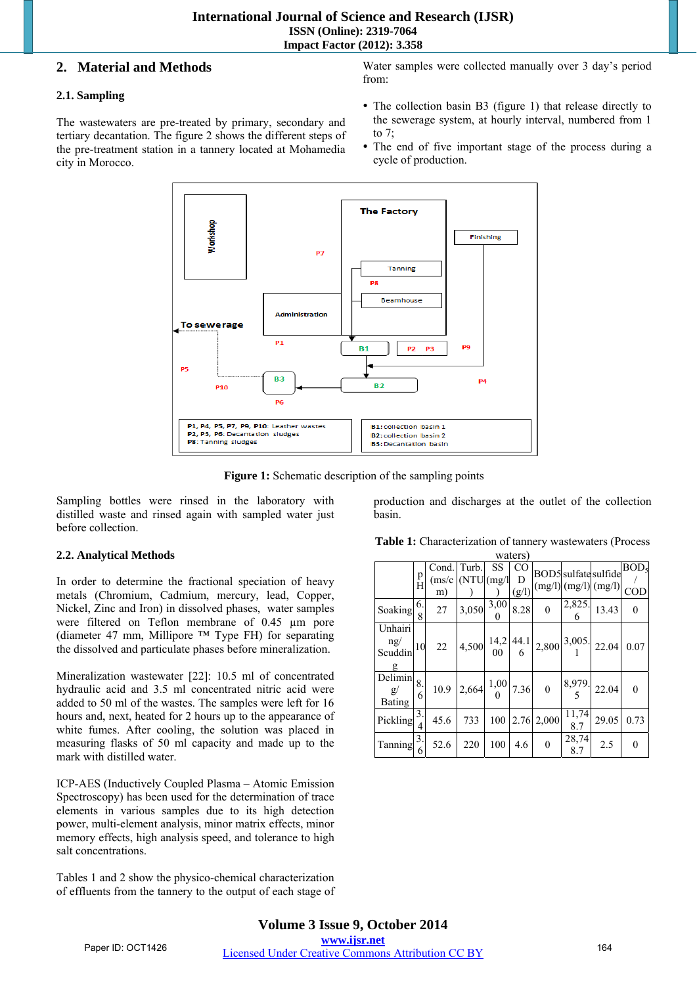# **2. Material and Methods**

# **2.1. Sampling**

The wastewaters are pre-treated by primary, secondary and tertiary decantation. The figure 2 shows the different steps of the pre-treatment station in a tannery located at Mohamedia city in Morocco.

Water samples were collected manually over 3 day's period from:

- The collection basin B3 (figure 1) that release directly to the sewerage system, at hourly interval, numbered from 1 to 7;
- The end of five important stage of the process during a cycle of production.



Figure 1: Schematic description of the sampling points

Sampling bottles were rinsed in the laboratory with distilled waste and rinsed again with sampled water just before collection.

# **2.2. Analytical Methods**

In order to determine the fractional speciation of heavy metals (Chromium, Cadmium, mercury, lead, Copper, Nickel, Zinc and Iron) in dissolved phases, water samples were filtered on Teflon membrane of 0.45 um pore (diameter 47 mm, Millipore ™ Type FH) for separating the dissolved and particulate phases before mineralization.

Mineralization wastewater [22]: 10.5 ml of concentrated hydraulic acid and 3.5 ml concentrated nitric acid were added to 50 ml of the wastes. The samples were left for 16 hours and, next, heated for 2 hours up to the appearance of white fumes. After cooling, the solution was placed in measuring flasks of 50 ml capacity and made up to the mark with distilled water.

ICP-AES (Inductively Coupled Plasma – Atomic Emission Spectroscopy) has been used for the determination of trace elements in various samples due to its high detection power, multi-element analysis, minor matrix effects, minor memory effects, high analysis speed, and tolerance to high salt concentrations.

Tables 1 and 2 show the physico-chemical characterization of effluents from the tannery to the output of each stage of production and discharges at the outlet of the collection basin.

| waltid                                    |         |                       |                                                                                                                                 |                        |          |                  |              |                                                                                                                    |                  |
|-------------------------------------------|---------|-----------------------|---------------------------------------------------------------------------------------------------------------------------------|------------------------|----------|------------------|--------------|--------------------------------------------------------------------------------------------------------------------|------------------|
|                                           | p       | Cond.<br>$\rm (ms/c)$ | Turb.<br>(NTU   (mg/1)                                                                                                          | SS                     | CO.<br>D |                  |              | BOD5 sulfate sulfide                                                                                               | BOD <sub>5</sub> |
|                                           | H       | m)                    |                                                                                                                                 |                        | (g/l)    |                  |              | $(mg/l)$ (mg/l) (mg/l) COD                                                                                         |                  |
| Soaking                                   | 6.<br>8 | 27                    | 3,050                                                                                                                           | $\overline{3,00}$ 8.28 |          | $\mathbf{0}$     |              | $\begin{array}{ c c }\n 2,825 & 13.43 \\ \hline\n 6 & & \n\end{array}$                                             | $\theta$         |
| Unhairi<br>ng/<br>Scuddin<br>g            | 10      | 22                    |                                                                                                                                 |                        |          |                  |              | 4,500 $\begin{vmatrix} 14.2 & 44.1 \\ 00 & 6 \end{vmatrix}$ 2,800 $\begin{vmatrix} 3.005 \\ 1 \end{vmatrix}$ 22.04 | 0.07             |
| Delimin<br>$\mathbf{g}/$<br><b>Bating</b> | 8.<br>6 | 10.9                  | $\left  2,664 \right  \left  \begin{array}{c} 1,00 \\ 0 \end{array} \right  7.36 \left  \begin{array}{c} 0 \end{array} \right $ |                        |          |                  |              | $\frac{8,979}{5}$ 22.04                                                                                            | $\Omega$         |
| Pickling                                  | 3.      | 45.6                  | 733                                                                                                                             | 100                    |          | $2.76$   $2,000$ | 11,74<br>8.7 | 29.05                                                                                                              | 0.73             |
| Tanning                                   | 3.      | 52.6                  | 220                                                                                                                             | 100                    | 4.6      | $\mathbf{0}$     | 28,74<br>8.7 | 2.5                                                                                                                | $\theta$         |

| Table 1: Characterization of tannery wastewaters (Process |
|-----------------------------------------------------------|
| waters)                                                   |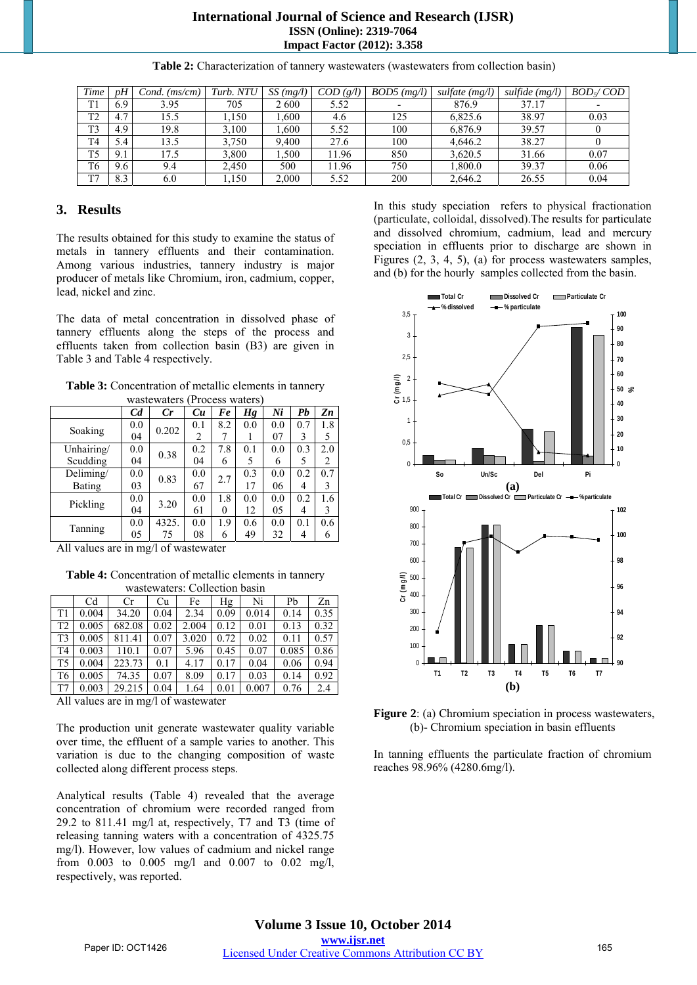### **International Journal of Science and Research (IJSR) ISSN (Online): 2319-7064 Impact Factor (2012): 3.358**

| Time           | pH  | Cond.<br>(ms/cm) | Turb. NTU | SS(mg/l) | COD(g/l) | $BOD5$ (mg/l) | sulfate $(mg/l)$ | sulfide $(mg/l)$ | $BOD \swarrow COD$ |
|----------------|-----|------------------|-----------|----------|----------|---------------|------------------|------------------|--------------------|
| T1             | 6.9 | 3.95             | 705       | 2600     | 5.52     |               | 876.9            | 37.17            |                    |
| T <sub>2</sub> | 4.7 | 15.5             | .150      | .600     | 4.6      | 125           | 6.825.6          | 38.97            | 0.03               |
| T <sub>3</sub> | 4.9 | 19.8             | 3,100     | .600     | 5.52     | 100           | 6.876.9          | 39.57            |                    |
| T <sub>4</sub> | 5.4 | 13.5             | 3,750     | 9.400    | 27.6     | 100           | 4.646.2          | 38.27            |                    |
| T5             | 9.1 | 17.5             | 3,800     | .500     | 11.96    | 850           | 3.620.5          | 31.66            | 0.07               |
| T <sub>6</sub> | 9.6 | 9.4              | 2.450     | 500      | 11.96    | 750           | 1.800.0          | 39.37            | 0.06               |
| T7             | 8.3 | 6.0              | 1.150     | 2,000    | 5.52     | 200           | 2,646.2          | 26.55            | 0.04               |

**Table 2:** Characterization of tannery wastewaters (wastewaters from collection basin)

# **3. Results**

The results obtained for this study to examine the status of metals in tannery effluents and their contamination. Among various industries, tannery industry is major producer of metals like Chromium, iron, cadmium, copper, lead, nickel and zinc.

The data of metal concentration in dissolved phase of tannery effluents along the steps of the process and effluents taken from collection basin (B3) are given in Table 3 and Table 4 respectively.

**Table 3:** Concentration of metallic elements in tannery wastewaters (Process waters)

| wasio waio i<br><b>I TOUGO WALLED</b> |                |                               |     |     |     |     |     |     |  |  |
|---------------------------------------|----------------|-------------------------------|-----|-----|-----|-----|-----|-----|--|--|
|                                       | C <sub>d</sub> | Cr                            | Cu  | Fe  | Hg  | Ni  | Pb  | Zn  |  |  |
|                                       | 0.0            |                               | 0.1 | 8.2 | 0.0 | 0.0 | 0.7 | 1.8 |  |  |
| Soaking                               | 04             |                               | 2   |     |     | 07  | 3   | 5   |  |  |
| Unhairing/                            | 0.0            |                               | 0.2 | 7.8 | 0.1 | 0.0 | 0.3 | 2.0 |  |  |
| Scudding                              | 04             | 0.202<br>0.38<br>0.83<br>3.20 | 04  | 6   | 5   | 6   | 5   | 2   |  |  |
| Deliming/                             | 0.0            |                               | 0.0 | 2.7 | 0.3 | 0.0 | 0.2 | 0.7 |  |  |
| Bating                                | 03             |                               | 67  |     | 17  | 06  | 4   | 3   |  |  |
| Pickling                              | 0.0            |                               | 0.0 | 1.8 | 0.0 | 0.0 | 0.2 | 1.6 |  |  |
|                                       | 04             |                               | 61  | 0   | 12  | 05  | 4   | 3   |  |  |
|                                       | 0.0            | 4325.                         | 0.0 | 1.9 | 0.6 | 0.0 | 0.1 | 0.6 |  |  |
| Tanning                               | 05             | 75                            | 08  | 6   | 49  | 32  | 4   | 6   |  |  |

All values are in mg/l of wastewater

**Table 4:** Concentration of metallic elements in tannery wastewaters: Collection basin

|                | C <sub>d</sub> | <b>Cr</b> | Cu   | Fe    | Hg   | Ni    | Pb    | Zn   |  |  |  |
|----------------|----------------|-----------|------|-------|------|-------|-------|------|--|--|--|
| T1             | 0.004          | 34.20     | 0.04 | 2.34  | 0.09 | 0.014 | 0.14  | 0.35 |  |  |  |
| T <sub>2</sub> | 0.005          | 682.08    | 0.02 | 2.004 | 0.12 | 0.01  | 0.13  | 0.32 |  |  |  |
| T3             | 0.005          | 811.41    | 0.07 | 3.020 | 0.72 | 0.02  | 0.11  | 0.57 |  |  |  |
| T <sub>4</sub> | 0.003          | 110.1     | 0.07 | 5.96  | 0.45 | 0.07  | 0.085 | 0.86 |  |  |  |
| T <sub>5</sub> | 0.004          | 223.73    | 0.1  | 4.17  | 0.17 | 0.04  | 0.06  | 0.94 |  |  |  |
| T6             | 0.005          | 74.35     | 0.07 | 8.09  | 0.17 | 0.03  | 0.14  | 0.92 |  |  |  |
| T7             | 0.003          | 29.215    | 0.04 | 1.64  | 0.01 | 0.007 | 0.76  | 2.4  |  |  |  |

All values are in mg/l of wastewater

The production unit generate wastewater quality variable over time, the effluent of a sample varies to another. This variation is due to the changing composition of waste collected along different process steps.

Analytical results (Table 4) revealed that the average concentration of chromium were recorded ranged from 29.2 to 811.41 mg/l at, respectively, T7 and T3 (time of releasing tanning waters with a concentration of 4325.75 mg/l). However, low values of cadmium and nickel range from 0.003 to 0.005 mg/l and 0.007 to 0.02 mg/l, respectively, was reported.

In this study speciation refers to physical fractionation (particulate, colloidal, dissolved).The results for particulate and dissolved chromium, cadmium, lead and mercury speciation in effluents prior to discharge are shown in Figures (2, 3, 4, 5), (a) for process wastewaters samples, and (b) for the hourly samples collected from the basin.



**Figure 2**: (a) Chromium speciation in process wastewaters, (b)- Chromium speciation in basin effluents

In tanning effluents the particulate fraction of chromium reaches 98.96% (4280.6mg/l).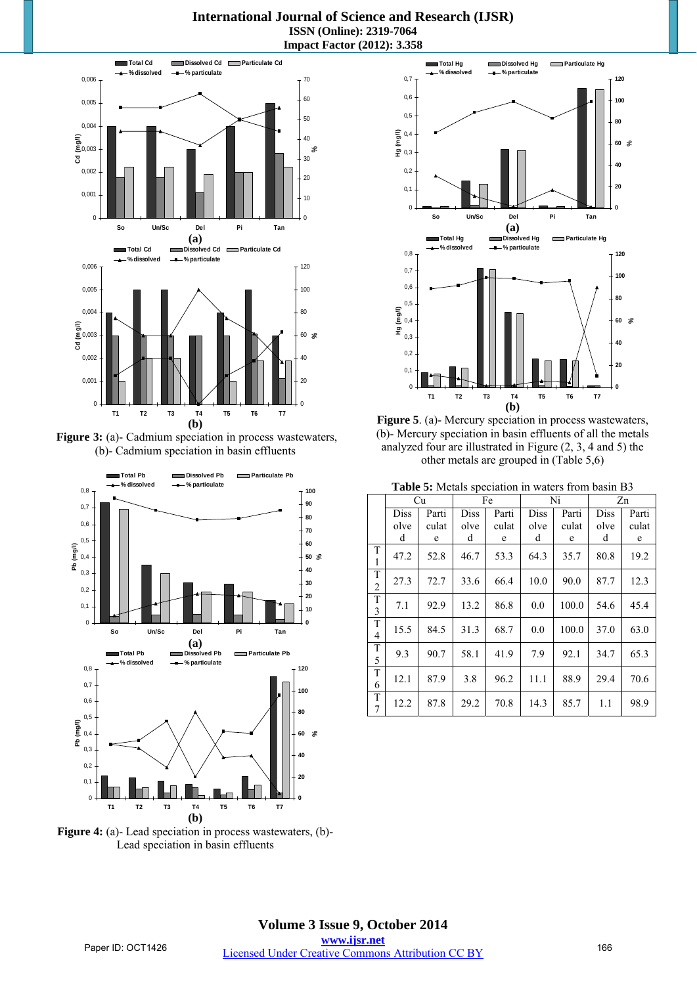**International Journal of Science and Research (IJSR) ISSN (Online): 2319-7064 Impact Factor (2012): 3.358** 



**Figure 3:** (a)- Cadmium speciation in process wastewaters, (b)- Cadmium speciation in basin effluents



**Figure 4:** (a)- Lead speciation in process wastewaters, (b)- Lead speciation in basin effluents



**Figure 5**. (a)- Mercury speciation in process wastewaters, (b)- Mercury speciation in basin effluents of all the metals analyzed four are illustrated in Figure (2, 3, 4 and 5) the other metals are grouped in (Table 5,6)

**Table 5:** Metals speciation in waters from basin B3

|                     | Cu   |       |             | Fe    |      | Ni    |      | Zn    |  |  |
|---------------------|------|-------|-------------|-------|------|-------|------|-------|--|--|
|                     | Diss | Parti | <b>Diss</b> | Parti | Diss | Parti | Diss | Parti |  |  |
|                     | olve | culat | olve        | culat | olve | culat | olve | culat |  |  |
|                     | d    | e     | d           | e     | d    | e     | d    | e     |  |  |
| T<br>$\mathbf{1}$   | 47.2 | 52.8  | 46.7        | 53.3  | 64.3 | 35.7  | 80.8 | 19.2  |  |  |
| T<br>$\overline{2}$ | 27.3 | 72.7  | 33.6        | 66.4  | 10.0 | 90.0  | 87.7 | 12.3  |  |  |
| T<br>3              | 7.1  | 92.9  | 13.2        | 86.8  | 0.0  | 100.0 | 54.6 | 45.4  |  |  |
| T<br>$\overline{4}$ | 15.5 | 84.5  | 31.3        | 68.7  | 0.0  | 100.0 | 37.0 | 63.0  |  |  |
| T<br>5              | 9.3  | 90.7  | 58.1        | 41.9  | 7.9  | 92.1  | 34.7 | 65.3  |  |  |
| T<br>6              | 12.1 | 87.9  | 3.8         | 96.2  | 11.1 | 88.9  | 29.4 | 70.6  |  |  |
| T<br>7              | 12.2 | 87.8  | 29.2        | 70.8  | 14.3 | 85.7  | 1.1  | 98.9  |  |  |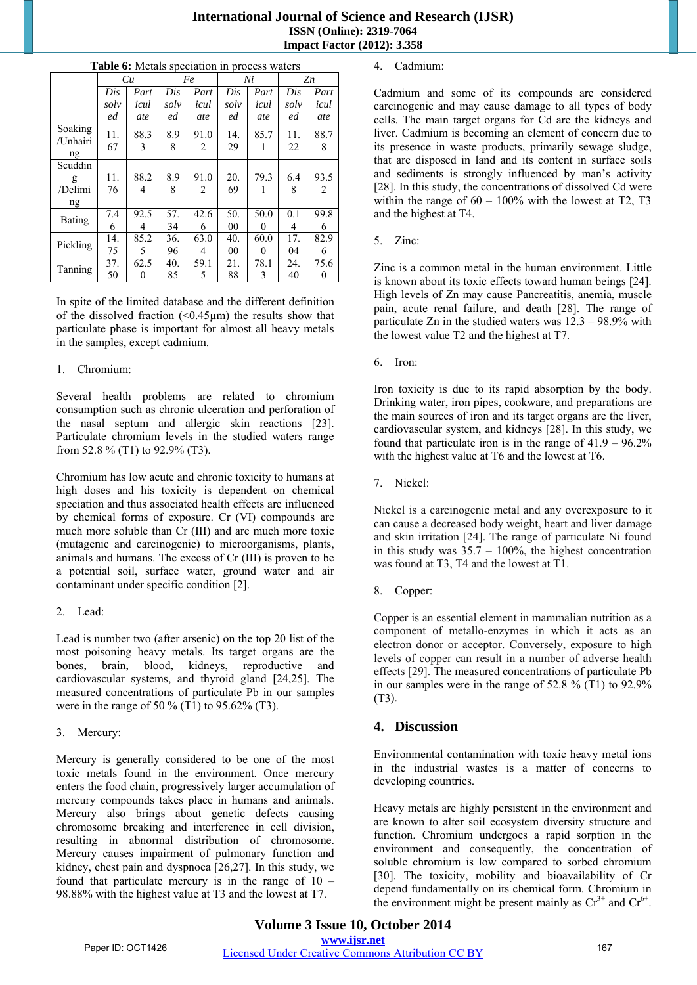| <b>International Journal of Science and Research (IJSR)</b> |
|-------------------------------------------------------------|
| <b>ISSN</b> (Online): 2319-7064                             |
| <b>Impact Factor (2012): 3.358</b>                          |

|                           | Cu        |           |          | Fe        |           | Ni       |           | Zn        |
|---------------------------|-----------|-----------|----------|-----------|-----------|----------|-----------|-----------|
|                           | Dis       | Part      | Dis      | Part      | Dis       | Part     | Dis       | Part      |
|                           | solv      | icul      | solv     | icul      | solv      | icul     | solv      | icul      |
|                           | ed        | ate       | ed       | ate       | ed        | ate      | ed        | ate       |
| Soaking<br>/Unhairi<br>ng | 11.<br>67 | 88.3<br>3 | 8.9<br>8 | 91.0<br>2 | 14.<br>29 | 85.7     | 11.<br>22 | 88.7<br>8 |
| Scuddin                   |           |           |          |           |           |          |           |           |
| g                         | 11.       | 88.2      | 8.9      | 91.0      | 20.       | 79.3     | 6.4       | 93.5      |
| /Delimi                   | 76        | 4         | 8        | 2         | 69        | 1        | 8         | 2         |
| ng                        |           |           |          |           |           |          |           |           |
| Bating                    | 7.4       | 92.5      | 57.      | 42.6      | 50.       | 50.0     | 0.1       | 99.8      |
|                           | 6         | 4         | 34       | 6         | 00        | $\theta$ | 4         | 6         |
|                           | 14.       | 85.2      | 36.      | 63.0      | 40.       | 60.0     | 17.       | 82.9      |
| Pickling                  | 75        | 5         | 96       | 4         | 00        | $\theta$ | 04        | 6         |
|                           | 37.       | 62.5      | 40.      | 59.1      | 21.       | 78.1     | 24.       | 75.6      |
| Tanning                   | 50        | 0         | 85       | 5         | 88        | 3        | 40        | 0         |

#### **Table 6:** Metals speciation in process waters

In spite of the limited database and the different definition of the dissolved fraction  $(\leq 0.45 \,\mu\text{m})$  the results show that particulate phase is important for almost all heavy metals in the samples, except cadmium.

#### 1. Chromium:

Several health problems are related to chromium consumption such as chronic ulceration and perforation of the nasal septum and allergic skin reactions [23]. Particulate chromium levels in the studied waters range from 52.8 % (T1) to 92.9% (T3).

Chromium has low acute and chronic toxicity to humans at high doses and his toxicity is dependent on chemical speciation and thus associated health effects are influenced by chemical forms of exposure. Cr (VI) compounds are much more soluble than Cr (III) and are much more toxic (mutagenic and carcinogenic) to microorganisms, plants, animals and humans. The excess of Cr (III) is proven to be a potential soil, surface water, ground water and air contaminant under specific condition [2].

#### 2. Lead:

Lead is number two (after arsenic) on the top 20 list of the most poisoning heavy metals. Its target organs are the bones, brain, blood, kidneys, reproductive and cardiovascular systems, and thyroid gland [24,25]. The measured concentrations of particulate Pb in our samples were in the range of 50 % (T1) to 95.62% (T3).

3. Mercury:

Mercury is generally considered to be one of the most toxic metals found in the environment. Once mercury enters the food chain, progressively larger accumulation of mercury compounds takes place in humans and animals. Mercury also brings about genetic defects causing chromosome breaking and interference in cell division, resulting in abnormal distribution of chromosome. Mercury causes impairment of pulmonary function and kidney, chest pain and dyspnoea [26,27]. In this study, we found that particulate mercury is in the range of 10 – 98.88% with the highest value at T3 and the lowest at T7.

#### 4. Cadmium:

Cadmium and some of its compounds are considered carcinogenic and may cause damage to all types of body cells. The main target organs for Cd are the kidneys and liver. Cadmium is becoming an element of concern due to its presence in waste products, primarily sewage sludge, that are disposed in land and its content in surface soils and sediments is strongly influenced by man's activity [28]. In this study, the concentrations of dissolved Cd were within the range of  $60 - 100\%$  with the lowest at T2, T3 and the highest at T4.

5. Zinc:

Zinc is a common metal in the human environment. Little is known about its toxic effects toward human beings [24]. High levels of Zn may cause Pancreatitis, anemia, muscle pain, acute renal failure, and death [28]. The range of particulate Zn in the studied waters was 12.3 – 98.9% with the lowest value T2 and the highest at T7.

6. Iron:

Iron toxicity is due to its rapid absorption by the body. Drinking water, iron pipes, cookware, and preparations are the main sources of iron and its target organs are the liver, cardiovascular system, and kidneys [28]. In this study, we found that particulate iron is in the range of  $41.9 - 96.2\%$ with the highest value at T6 and the lowest at T6.

7. Nickel:

Nickel is a carcinogenic metal and any overexposure to it can cause a decreased body weight, heart and liver damage and skin irritation [24]. The range of particulate Ni found in this study was  $35.7 - 100\%$ , the highest concentration was found at T3, T4 and the lowest at T1.

8. Copper:

Copper is an essential element in mammalian nutrition as a component of metallo-enzymes in which it acts as an electron donor or acceptor. Conversely, exposure to high levels of copper can result in a number of adverse health effects [29]. The measured concentrations of particulate Pb in our samples were in the range of 52.8 % (T1) to 92.9% (T3).

# **4. Discussion**

Environmental contamination with toxic heavy metal ions in the industrial wastes is a matter of concerns to developing countries.

Heavy metals are highly persistent in the environment and are known to alter soil ecosystem diversity structure and function. Chromium undergoes a rapid sorption in the environment and consequently, the concentration of soluble chromium is low compared to sorbed chromium [30]. The toxicity, mobility and bioavailability of Cr depend fundamentally on its chemical form. Chromium in the environment might be present mainly as  $Cr^{3+}$  and  $Cr^{6+}$ .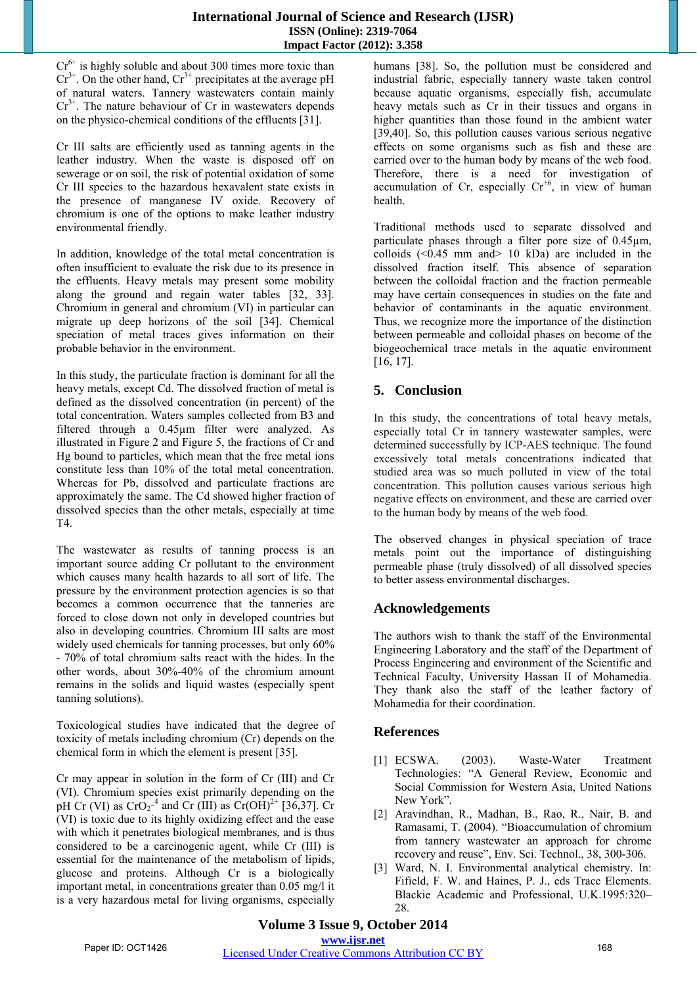$Cr<sup>6+</sup>$  is highly soluble and about 300 times more toxic than  $Cr^{3+}$ . On the other hand,  $Cr^{3+}$  precipitates at the average pH of natural waters. Tannery wastewaters contain mainly  $Cr<sup>3+</sup>$ . The nature behaviour of Cr in wastewaters depends on the physico-chemical conditions of the effluents [31].

Cr III salts are efficiently used as tanning agents in the leather industry. When the waste is disposed off on sewerage or on soil, the risk of potential oxidation of some Cr III species to the hazardous hexavalent state exists in the presence of manganese IV oxide. Recovery of chromium is one of the options to make leather industry environmental friendly.

In addition, knowledge of the total metal concentration is often insufficient to evaluate the risk due to its presence in the effluents. Heavy metals may present some mobility along the ground and regain water tables [32, 33]. Chromium in general and chromium (VI) in particular can migrate up deep horizons of the soil [34]. Chemical speciation of metal traces gives information on their probable behavior in the environment.

In this study, the particulate fraction is dominant for all the heavy metals, except Cd. The dissolved fraction of metal is defined as the dissolved concentration (in percent) of the total concentration. Waters samples collected from B3 and filtered through a 0.45µm filter were analyzed. As illustrated in Figure 2 and Figure 5, the fractions of Cr and Hg bound to particles, which mean that the free metal ions constitute less than 10% of the total metal concentration. Whereas for Pb, dissolved and particulate fractions are approximately the same. The Cd showed higher fraction of dissolved species than the other metals, especially at time T4.

The wastewater as results of tanning process is an important source adding Cr pollutant to the environment which causes many health hazards to all sort of life. The pressure by the environment protection agencies is so that becomes a common occurrence that the tanneries are forced to close down not only in developed countries but also in developing countries. Chromium III salts are most widely used chemicals for tanning processes, but only 60% - 70% of total chromium salts react with the hides. In the other words, about 30%-40% of the chromium amount remains in the solids and liquid wastes (especially spent tanning solutions).

Toxicological studies have indicated that the degree of toxicity of metals including chromium (Cr) depends on the chemical form in which the element is present [35].

Cr may appear in solution in the form of Cr (III) and Cr (VI). Chromium species exist primarily depending on the pH Cr (VI) as  $CrO_2^{-4}$  and Cr (III) as  $Cr(OH)^{2+}$  [36,37]. Cr (VI) is toxic due to its highly oxidizing effect and the ease with which it penetrates biological membranes, and is thus considered to be a carcinogenic agent, while Cr (III) is essential for the maintenance of the metabolism of lipids, glucose and proteins. Although Cr is a biologically important metal, in concentrations greater than 0.05 mg/l it is a very hazardous metal for living organisms, especially

humans [38]. So, the pollution must be considered and industrial fabric, especially tannery waste taken control because aquatic organisms, especially fish, accumulate heavy metals such as Cr in their tissues and organs in higher quantities than those found in the ambient water [39,40]. So, this pollution causes various serious negative effects on some organisms such as fish and these are carried over to the human body by means of the web food. Therefore, there is a need for investigation of accumulation of Cr, especially  $Cr^{+6}$ , in view of human health.

Traditional methods used to separate dissolved and particulate phases through a filter pore size of 0.45µm, colloids  $( $0.45 \text{ mm}$  and  $>$  10 kDa) are included in the$ dissolved fraction itself. This absence of separation between the colloidal fraction and the fraction permeable may have certain consequences in studies on the fate and behavior of contaminants in the aquatic environment. Thus, we recognize more the importance of the distinction between permeable and colloidal phases on become of the biogeochemical trace metals in the aquatic environment [16, 17].

# **5. Conclusion**

In this study, the concentrations of total heavy metals, especially total Cr in tannery wastewater samples, were determined successfully by ICP-AES technique. The found excessively total metals concentrations indicated that studied area was so much polluted in view of the total concentration. This pollution causes various serious high negative effects on environment, and these are carried over to the human body by means of the web food.

The observed changes in physical speciation of trace metals point out the importance of distinguishing permeable phase (truly dissolved) of all dissolved species to better assess environmental discharges.

# **Acknowledgements**

The authors wish to thank the staff of the Environmental Engineering Laboratory and the staff of the Department of Process Engineering and environment of the Scientific and Technical Faculty, University Hassan II of Mohamedia. They thank also the staff of the leather factory of Mohamedia for their coordination.

# **References**

- [1] ECSWA. (2003). Waste-Water Treatment Technologies: "A General Review, Economic and Social Commission for Western Asia, United Nations New York".
- [2] Aravindhan, R., Madhan, B., Rao, R., Nair, B. and Ramasami, T. (2004). "Bioaccumulation of chromium from tannery wastewater an approach for chrome recovery and reuse", Env. Sci. Technol., 38, 300-306.
- [3] Ward, N. I. Environmental analytical chemistry. In: Fifield, F. W. and Haines, P. J., eds Trace Elements. Blackie Academic and Professional, U.K.1995:320– 28.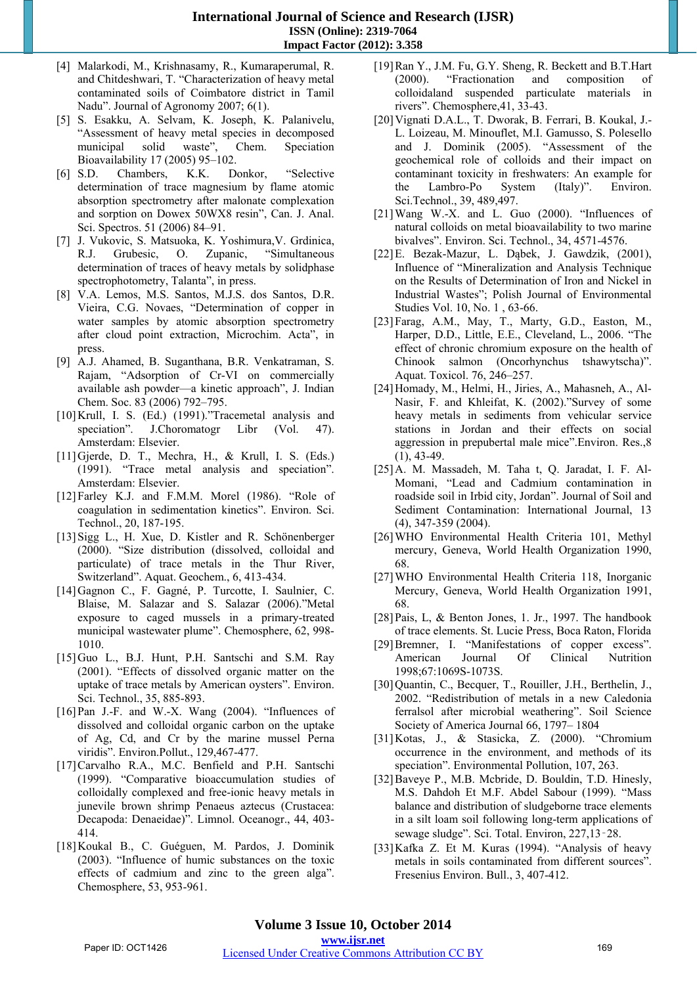**International Journal of Science and Research (IJSR) ISSN (Online): 2319-7064 Impact Factor (2012): 3.358** 

- [4] Malarkodi, M., Krishnasamy, R., Kumaraperumal, R. and Chitdeshwari, T. "Characterization of heavy metal contaminated soils of Coimbatore district in Tamil Nadu". Journal of Agronomy 2007; 6(1).
- [5] S. Esakku, A. Selvam, K. Joseph, K. Palanivelu, "Assessment of heavy metal species in decomposed municipal solid waste", Chem. Speciation Bioavailability 17 (2005) 95–102.
- [6] S.D. Chambers, K.K. Donkor, "Selective determination of trace magnesium by flame atomic absorption spectrometry after malonate complexation and sorption on Dowex 50WX8 resin", Can. J. Anal. Sci. Spectros. 51 (2006) 84–91.
- [7] J. Vukovic, S. Matsuoka, K. Yoshimura,V. Grdinica, R.J. Grubesic, O. Zupanic, "Simultaneous determination of traces of heavy metals by solidphase spectrophotometry, Talanta", in press.
- [8] V.A. Lemos, M.S. Santos, M.J.S. dos Santos, D.R. Vieira, C.G. Novaes, "Determination of copper in water samples by atomic absorption spectrometry after cloud point extraction, Microchim. Acta", in press.
- [9] A.J. Ahamed, B. Suganthana, B.R. Venkatraman, S. Rajam, "Adsorption of Cr-VI on commercially available ash powder—a kinetic approach", J. Indian Chem. Soc. 83 (2006) 792–795.
- [10] Krull, I. S. (Ed.) (1991)."Tracemetal analysis and speciation". J.Choromatogr Libr (Vol. 47). Amsterdam: Elsevier.
- [11]Gjerde, D. T., Mechra, H., & Krull, I. S. (Eds.) (1991). "Trace metal analysis and speciation". Amsterdam: Elsevier.
- [12]Farley K.J. and F.M.M. Morel (1986). "Role of coagulation in sedimentation kinetics". Environ. Sci. Technol., 20, 187-195.
- [13]Sigg L., H. Xue, D. Kistler and R. Schönenberger (2000). "Size distribution (dissolved, colloidal and particulate) of trace metals in the Thur River, Switzerland". Aquat. Geochem., 6, 413-434.
- [14]Gagnon C., F. Gagné, P. Turcotte, I. Saulnier, C. Blaise, M. Salazar and S. Salazar (2006)."Metal exposure to caged mussels in a primary-treated municipal wastewater plume". Chemosphere, 62, 998- 1010.
- [15]Guo L., B.J. Hunt, P.H. Santschi and S.M. Ray (2001). "Effects of dissolved organic matter on the uptake of trace metals by American oysters". Environ. Sci. Technol., 35, 885-893.
- [16]Pan J.-F. and W.-X. Wang (2004). "Influences of dissolved and colloidal organic carbon on the uptake of Ag, Cd, and Cr by the marine mussel Perna viridis". Environ.Pollut., 129,467-477.
- [17]Carvalho R.A., M.C. Benfield and P.H. Santschi (1999). "Comparative bioaccumulation studies of colloidally complexed and free-ionic heavy metals in junevile brown shrimp Penaeus aztecus (Crustacea: Decapoda: Denaeidae)". Limnol. Oceanogr., 44, 403- 414.
- [18]Koukal B., C. Guéguen, M. Pardos, J. Dominik (2003). "Influence of humic substances on the toxic effects of cadmium and zinc to the green alga". Chemosphere, 53, 953-961.
- [19]Ran Y., J.M. Fu, G.Y. Sheng, R. Beckett and B.T.Hart (2000). "Fractionation and composition of colloidaland suspended particulate materials in rivers". Chemosphere,41, 33-43.
- [20]Vignati D.A.L., T. Dworak, B. Ferrari, B. Koukal, J.- L. Loizeau, M. Minouflet, M.I. Gamusso, S. Polesello and J. Dominik (2005). "Assessment of the geochemical role of colloids and their impact on contaminant toxicity in freshwaters: An example for the Lambro-Po System (Italy)". Environ. Sci.Technol., 39, 489,497.
- [21]Wang W.-X. and L. Guo (2000). "Influences of natural colloids on metal bioavailability to two marine bivalves". Environ. Sci. Technol., 34, 4571-4576.
- [22]E. Bezak-Mazur, L. Dąbek, J. Gawdzik, (2001), Influence of "Mineralization and Analysis Technique on the Results of Determination of Iron and Nickel in Industrial Wastes"; Polish Journal of Environmental Studies Vol. 10, No. 1 , 63-66.
- [23]Farag, A.M., May, T., Marty, G.D., Easton, M., Harper, D.D., Little, E.E., Cleveland, L., 2006. "The effect of chronic chromium exposure on the health of Chinook salmon (Oncorhynchus tshawytscha)". Aquat. Toxicol. 76, 246–257.
- [24]Homady, M., Helmi, H., Jiries, A., Mahasneh, A., Al-Nasir, F. and Khleifat, K. (2002)."Survey of some heavy metals in sediments from vehicular service stations in Jordan and their effects on social aggression in prepubertal male mice".Environ. Res.,8 (1), 43-49.
- [25]A. M. Massadeh, M. Taha t, Q. Jaradat, I. F. Al-Momani, "Lead and Cadmium contamination in roadside soil in Irbid city, Jordan". Journal of Soil and Sediment Contamination: International Journal, 13 (4), 347-359 (2004).
- [26]WHO Environmental Health Criteria 101, Methyl mercury, Geneva, World Health Organization 1990, 68.
- [27]WHO Environmental Health Criteria 118, Inorganic Mercury, Geneva, World Health Organization 1991, 68.
- [28]Pais, L, & Benton Jones, 1. Jr., 1997. The handbook of trace elements. St. Lucie Press, Boca Raton, Florida
- [29]Bremner, I. "Manifestations of copper excess". American Journal Of Clinical Nutrition 1998;67:1069S-1073S.
- [30] Quantin, C., Becquer, T., Rouiller, J.H., Berthelin, J., 2002. "Redistribution of metals in a new Caledonia ferralsol after microbial weathering". Soil Science Society of America Journal 66, 1797– 1804
- [31]Kotas, J., & Stasicka, Z. (2000). "Chromium occurrence in the environment, and methods of its speciation". Environmental Pollution, 107, 263.
- [32]Baveye P., M.B. Mcbride, D. Bouldin, T.D. Hinesly, M.S. Dahdoh Et M.F. Abdel Sabour (1999). "Mass balance and distribution of sludgeborne trace elements in a silt loam soil following long-term applications of sewage sludge". Sci. Total. Environ, 227,13‑28.
- [33]Kafka Z. Et M. Kuras (1994). "Analysis of heavy metals in soils contaminated from different sources". Fresenius Environ. Bull., 3, 407-412.